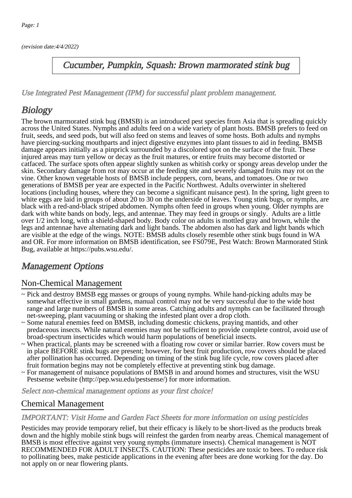(revision date:4/4/2022)

## Cucumber, Pumpkin, Squash: Brown marmorated stink bug

[Use Integrated Pest Management \(IPM\) for successful plant problem management.](http://pep.wsu.edu/Home_Garden/H_G_Pesticide_info/urban_Integrated_Pest_Managmen/)

# **Biology**

The brown marmorated stink bug (BMSB) is an introduced pest species from Asia that is spreading quickly across the United States. Nymphs and adults feed on a wide variety of plant hosts. BMSB prefers to feed on fruit, seeds, and seed pods, but will also feed on stems and leaves of some hosts. Both adults and nymphs have piercing-sucking mouthparts and inject digestive enzymes into plant tissues to aid in feeding. BMSB damage appears initially as a pinprick surrounded by a discolored spot on the surface of the fruit. These injured areas may turn yellow or decay as the fruit matures, or entire fruits may become distorted or catfaced. The surface spots often appear slightly sunken as whitish corky or spongy areas develop under the skin. Secondary damage from rot may occur at the feeding site and severely damaged fruits may rot on the vine. Other known vegetable hosts of BMSB include peppers, corn, beans, and tomatoes. One or two generations of BMSB per year are expected in the Pacific Northwest. Adults overwinter in sheltered locations (including houses, where they can become a significant nuisance pest). In the spring, light green to white eggs are laid in groups of about 20 to 30 on the underside of leaves. Young stink bugs, or nymphs, are black with a red-and-black striped abdomen. Nymphs often feed in groups when young. Older nymphs are dark with white bands on body, legs, and antennae. They may feed in groups or singly. Adults are a little over 1/2 inch long, with a shield-shaped body. Body color on adults is mottled gray and brown, while the legs and antennae have alternating dark and light bands. The abdomen also has dark and light bands which are visible at the edge of the wings. NOTE: BMSB adults closely resemble other stink bugs found in WA and OR. For more information on BMSB identification, see FS079E, Pest Watch: Brown Marmorated Stink Bug, available at https://pubs.wsu.edu/.

## Management Options

## Non-Chemical Management

- ~ Pick and destroy BMSB egg masses or groups of young nymphs. While hand-picking adults may be somewhat effective in small gardens, manual control may not be very successful due to the wide host range and large numbers of BMSB in some areas. Catching adults and nymphs can be facilitated through net-sweeping, plant vacuuming or shaking the infested plant over a drop cloth.
- ~ Some natural enemies feed on BMSB, including domestic chickens, praying mantids, and other predaceous insects. While natural enemies may not be sufficient to provide complete control, avoid use of broad-spectrum insecticides which would harm populations of beneficial insects.
- ~ When practical, plants may be screened with a floating row cover or similar barrier. Row covers must be in place BEFORE stink bugs are present; however, for best fruit production, row covers should be placed after pollination has occurred. Depending on timing of the stink bug life cycle, row covers placed after fruit formation begins may not be completely effective at preventing stink bug damage.
- ~ For management of nuisance populations of BMSB in and around homes and structures, visit the WSU Pestsense website (http://pep.wsu.edu/pestsense/) for more information.

Select non-chemical management options as your first choice!

## Chemical Management

#### IMPORTANT: [Visit Home and Garden Fact Sheets for more information on using pesticides](http://pep.wsu.edu/Home_Garden/H_G_Pesticide_info/)

Pesticides may provide temporary relief, but their efficacy is likely to be short-lived as the products break down and the highly mobile stink bugs will reinfest the garden from nearby areas. Chemical management of BMSB is most effective against very young nymphs (immature insects). Chemical management is NOT RECOMMENDED FOR ADULT INSECTS. CAUTION: These pesticides are toxic to bees. To reduce risk to pollinating bees, make pesticide applications in the evening after bees are done working for the day. Do not apply on or near flowering plants.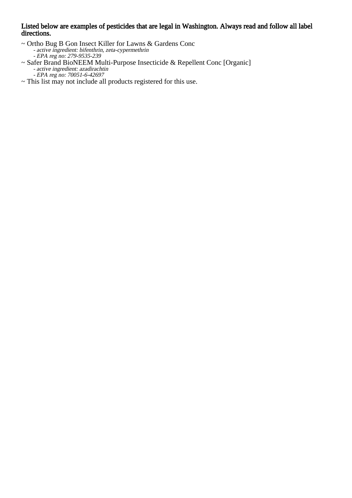#### Listed below are examples of pesticides that are legal in Washington. Always read and follow all label directions.

- $\sim$  Ort Ortho Bug B Gon Insect Killer for Lawns & Gardens Conc active ingredient: bifenthrin, zeta-cypermethrin EPA reg no: 279-9535-239
- $\sim$  Saf Safer Brand BioNEEM Multi-Purpose Insecticide & Repellent Conc [Organic] active ingredient: azadirachtin EPA reg no: 70051-6-42697
- ~ This list may not include all products registered for this use.